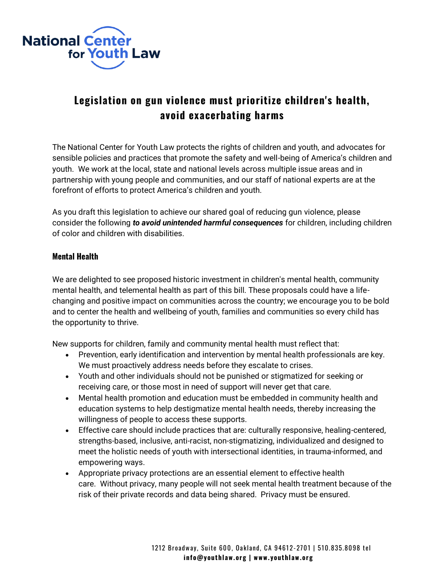

## **Legislation on gun violence must prioritize children's health, avoid exacerbating harms**

The National Center for Youth Law protects the rights of children and youth, and advocates for sensible policies and practices that promote the safety and well-being of America's children and youth. We work at the local, state and national levels across multiple issue areas and in partnership with young people and communities, and our staff of national experts are at the forefront of efforts to protect America's children and youth.

As you draft this legislation to achieve our shared goal of reducing gun violence, please consider the following *to avoid unintended harmful consequences* for children, including children of color and children with disabilities.

## **Mental Health**

We are delighted to see proposed historic investment in children's mental health, community mental health, and telemental health as part of this bill. These proposals could have a lifechanging and positive impact on communities across the country; we encourage you to be bold and to center the health and wellbeing of youth, families and communities so every child has the opportunity to thrive.

New supports for children, family and community mental health must reflect that:

- Prevention, early identification and intervention by mental health professionals are key. We must proactively address needs before they escalate to crises.
- Youth and other individuals should not be punished or stigmatized for seeking or receiving care, or those most in need of support will never get that care.
- Mental health promotion and education must be embedded in community health and education systems to help destigmatize mental health needs, thereby increasing the willingness of people to access these supports.
- Effective care should include practices that are: culturally responsive, healing-centered, strengths-based, inclusive, anti-racist, non-stigmatizing, individualized and designed to meet the holistic needs of youth with intersectional identities, in trauma-informed, and empowering ways.
- Appropriate privacy protections are an essential element to effective health care. Without privacy, many people will not seek mental health treatment because of the risk of their private records and data being shared. Privacy must be ensured.